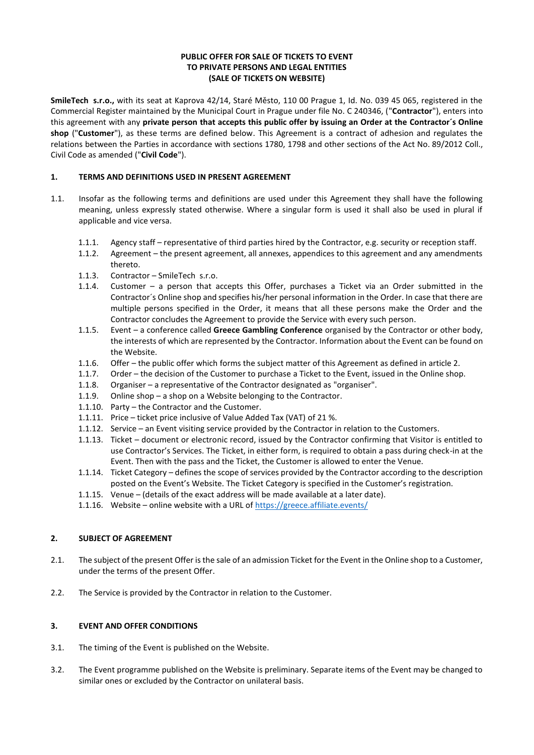## **PUBLIC OFFER FOR SALE OF TICKETS TO EVENT TO PRIVATE PERSONS AND LEGAL ENTITIES (SALE OF TICKETS ON WEBSITE)**

**SmileTech s.r.o.,** with its seat at Kaprova 42/14, Staré Město, 110 00 Prague 1, Id. No. 039 45 065, registered in the Commercial Register maintained by the Municipal Court in Prague under file No. C 240346, ("**Contractor**"), enters into this agreement with any **private person that accepts this public offer by issuing an Order at the Contractor´s Online shop** ("**Customer**"), as these terms are defined below. This Agreement is a contract of adhesion and regulates the relations between the Parties in accordance with sections 1780, 1798 and other sections of the Act No. 89/2012 Coll., Civil Code as amended ("**Civil Code**").

## **1. TERMS AND DEFINITIONS USED IN PRESENT AGREEMENT**

- 1.1. Insofar as the following terms and definitions are used under this Agreement they shall have the following meaning, unless expressly stated otherwise. Where a singular form is used it shall also be used in plural if applicable and vice versa.
	- 1.1.1. Agency staff representative of third parties hired by the Contractor, e.g. security or reception staff.
	- 1.1.2. Agreement the present agreement, all annexes, appendices to this agreement and any amendments thereto.
	- 1.1.3. Contractor SmileTech s.r.o.
	- 1.1.4. Customer a person that accepts this Offer, purchases a Ticket via an Order submitted in the Contractor´s Online shop and specifies his/her personal information in the Order. In case that there are multiple persons specified in the Order, it means that all these persons make the Order and the Contractor concludes the Agreement to provide the Service with every such person.
	- 1.1.5. Event a conference called **Greece Gambling Conference** organised by the Contractor or other body, the interests of which are represented by the Contractor. Information about the Event can be found on the Website.
	- 1.1.6. Offer the public offer which forms the subject matter of this Agreement as defined in article 2.
	- 1.1.7. Order the decision of the Customer to purchase a Ticket to the Event, issued in the Online shop.
	- 1.1.8. Organiser a representative of the Contractor designated as "organiser".
	- 1.1.9. Online shop a shop on a Website belonging to the Contractor.
	- 1.1.10. Party the Contractor and the Customer.
	- 1.1.11. Price ticket price inclusive of Value Added Tax (VAT) of 21 %.
	- 1.1.12. Service an Event visiting service provided by the Contractor in relation to the Customers.
	- 1.1.13. Ticket document or electronic record, issued by the Contractor confirming that Visitor is entitled to use Contractor's Services. The Ticket, in either form, is required to obtain a pass during check-in at the Event. Then with the pass and the Ticket, the Customer is allowed to enter the Venue.
	- 1.1.14. Ticket Category defines the scope of services provided by the Contractor according to the description posted on the Event's Website. The Ticket Category is specified in the Customer's registration.
	- 1.1.15. Venue (details of the exact address will be made available at a later date).
	- 1.1.16. Website online website with a URL o[f https://greece.affiliate.events/](https://greece.affiliate.events/)

#### **2. SUBJECT OF AGREEMENT**

- 2.1. The subject of the present Offer is the sale of an admission Ticket for the Event in the Online shop to a Customer, under the terms of the present Offer.
- 2.2. The Service is provided by the Contractor in relation to the Customer.

#### **3. EVENT AND OFFER CONDITIONS**

- 3.1. The timing of the Event is published on the Website.
- 3.2. The Event programme published on the Website is preliminary. Separate items of the Event may be changed to similar ones or excluded by the Contractor on unilateral basis.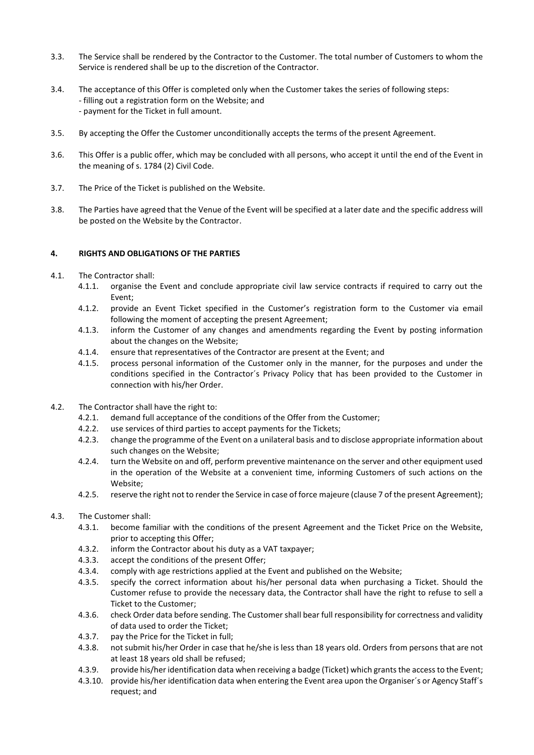- 3.3. The Service shall be rendered by the Contractor to the Customer. The total number of Customers to whom the Service is rendered shall be up to the discretion of the Contractor.
- 3.4. The acceptance of this Offer is completed only when the Customer takes the series of following steps: - filling out a registration form on the Website; and - payment for the Ticket in full amount.
- 3.5. By accepting the Offer the Customer unconditionally accepts the terms of the present Agreement.
- 3.6. This Offer is a public offer, which may be concluded with all persons, who accept it until the end of the Event in the meaning of s. 1784 (2) Civil Code.
- 3.7. The Price of the Ticket is published on the Website.
- 3.8. The Parties have agreed that the Venue of the Event will be specified at a later date and the specific address will be posted on the Website by the Contractor.

## **4. RIGHTS AND OBLIGATIONS OF THE PARTIES**

- 4.1. The Contractor shall:
	- 4.1.1. organise the Event and conclude appropriate civil law service contracts if required to carry out the Event;
	- 4.1.2. provide an Event Ticket specified in the Customer's registration form to the Customer via email following the moment of accepting the present Agreement;
	- 4.1.3. inform the Customer of any changes and amendments regarding the Event by posting information about the changes on the Website;
	- 4.1.4. ensure that representatives of the Contractor are present at the Event; and
	- 4.1.5. process personal information of the Customer only in the manner, for the purposes and under the conditions specified in the Contractor´s Privacy Policy that has been provided to the Customer in connection with his/her Order.
- 4.2. The Contractor shall have the right to:
	- 4.2.1. demand full acceptance of the conditions of the Offer from the Customer;
	- 4.2.2. use services of third parties to accept payments for the Tickets;
	- 4.2.3. change the programme of the Event on a unilateral basis and to disclose appropriate information about such changes on the Website;
	- 4.2.4. turn the Website on and off, perform preventive maintenance on the server and other equipment used in the operation of the Website at a convenient time, informing Customers of such actions on the Website;
	- 4.2.5. reserve the right not to render the Service in case of force majeure (clause 7 of the present Agreement);
- 4.3. The Customer shall:
	- 4.3.1. become familiar with the conditions of the present Agreement and the Ticket Price on the Website, prior to accepting this Offer;
	- 4.3.2. inform the Contractor about his duty as a VAT taxpayer;
	- 4.3.3. accept the conditions of the present Offer;
	- 4.3.4. comply with age restrictions applied at the Event and published on the Website;
	- 4.3.5. specify the correct information about his/her personal data when purchasing a Ticket. Should the Customer refuse to provide the necessary data, the Contractor shall have the right to refuse to sell a Ticket to the Customer;
	- 4.3.6. check Order data before sending. The Customer shall bear full responsibility for correctness and validity of data used to order the Ticket;
	- 4.3.7. pay the Price for the Ticket in full;
	- 4.3.8. not submit his/her Order in case that he/she is less than 18 years old. Orders from persons that are not at least 18 years old shall be refused;
	- 4.3.9. provide his/her identification data when receiving a badge (Ticket) which grants the access to the Event;
	- 4.3.10. provide his/her identification data when entering the Event area upon the Organiser´s or Agency Staff´s request; and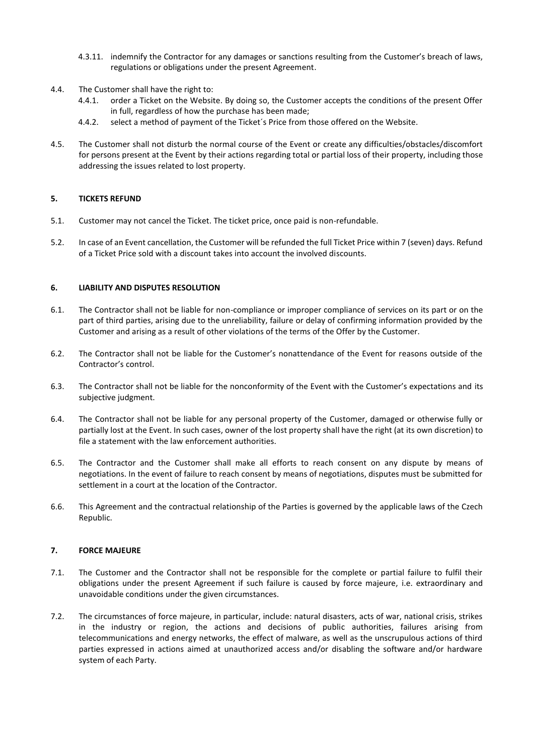- 4.3.11. indemnify the Contractor for any damages or sanctions resulting from the Customer's breach of laws, regulations or obligations under the present Agreement.
- 4.4. The Customer shall have the right to:
	- 4.4.1. order a Ticket on the Website. By doing so, the Customer accepts the conditions of the present Offer in full, regardless of how the purchase has been made;
	- 4.4.2. select a method of payment of the Ticket´s Price from those offered on the Website.
- 4.5. The Customer shall not disturb the normal course of the Event or create any difficulties/obstacles/discomfort for persons present at the Event by their actions regarding total or partial loss of their property, including those addressing the issues related to lost property.

## **5. TICKETS REFUND**

- 5.1. Customer may not cancel the Ticket. The ticket price, once paid is non-refundable.
- 5.2. In case of an Event cancellation, the Customer will be refunded the full Ticket Price within 7 (seven) days. Refund of a Ticket Price sold with a discount takes into account the involved discounts.

## **6. LIABILITY AND DISPUTES RESOLUTION**

- 6.1. The Contractor shall not be liable for non-compliance or improper compliance of services on its part or on the part of third parties, arising due to the unreliability, failure or delay of confirming information provided by the Customer and arising as a result of other violations of the terms of the Offer by the Customer.
- 6.2. The Contractor shall not be liable for the Customer's nonattendance of the Event for reasons outside of the Contractor's control.
- 6.3. The Contractor shall not be liable for the nonconformity of the Event with the Customer's expectations and its subjective judgment.
- 6.4. The Contractor shall not be liable for any personal property of the Customer, damaged or otherwise fully or partially lost at the Event. In such cases, owner of the lost property shall have the right (at its own discretion) to file a statement with the law enforcement authorities.
- 6.5. The Contractor and the Customer shall make all efforts to reach consent on any dispute by means of negotiations. In the event of failure to reach consent by means of negotiations, disputes must be submitted for settlement in a court at the location of the Contractor.
- 6.6. This Agreement and the contractual relationship of the Parties is governed by the applicable laws of the Czech Republic.

#### **7. FORCE MAJEURE**

- 7.1. The Customer and the Contractor shall not be responsible for the complete or partial failure to fulfil their obligations under the present Agreement if such failure is caused by force majeure, i.e. extraordinary and unavoidable conditions under the given circumstances.
- 7.2. The circumstances of force majeure, in particular, include: natural disasters, acts of war, national crisis, strikes in the industry or region, the actions and decisions of public authorities, failures arising from telecommunications and energy networks, the effect of malware, as well as the unscrupulous actions of third parties expressed in actions aimed at unauthorized access and/or disabling the software and/or hardware system of each Party.